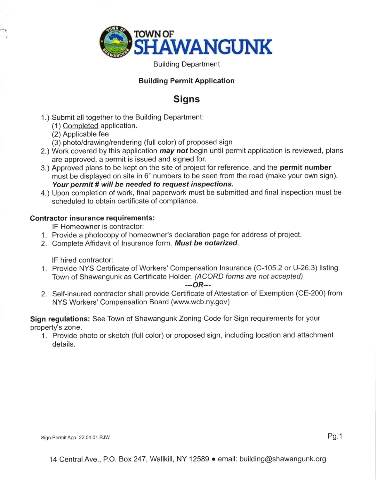

Building Department

## Building Permit Application

## **Signs**

- 1.) Submit all together to the Building Department:
	- (1 ) Completed application.
	- (2) Applicable fee
	- (3) photo/drawing/rendering (full color) of proposed sign
- 2.) Work covered by this application *may not* begin until permit application is reviewed, plans are approved, a permit is issued and signed for.
- 3.) Approved plans to be kept on the site of project for reference, and the permit number must be displayed on site in 6" numbers to be seen from the road (make your own sign). Your permit # will be needed to request inspections.
- 4.) Upon completion of work, final paperwork must be submitted and final inspection must be scheduled to obtain certificate of compliance.

## Contractor insurance requirements:

lF Homeowner is contractor:

- 1. Provide a photocopy of homeowner's declaration page for address of project.
- 2. Complete Affidavit of Insurance form. Must be notarized.

lF hired contractor:

'1 . Provide NYS Certificate of Workers' Compensation lnsurance (C-105.2 or U-26.3) listing Town of Shawangunk as Certificate Holder. (ACORD forms are not accepted)

---oR---

2. Self-insured contractor shall provide Certificate of Attestation of Exemption (CE-200) from NYS Workers' Compensation Board (www.wcb.ny.gov)

Sign regulations: See Town of Shawangunk Zoning Code for Sign requirements for your property's zone.

1. Provide photo or sketch (full color) or proposed sign, including location and attachment details.